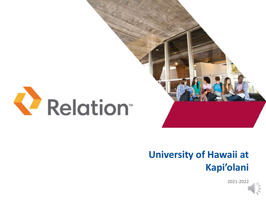

# **University of Hawaii at Kapi'olani**

2021-2022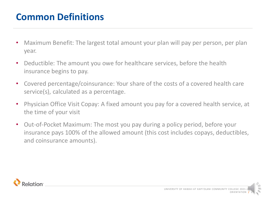# **Common Definitions**

- Maximum Benefit: The largest total amount your plan will pay per person, per plan year.
- Deductible: The amount you owe for healthcare services, before the health insurance begins to pay.
- Covered percentage/coinsurance: Your share of the costs of a covered health care service(s), calculated as a percentage.
- Physician Office Visit Copay: A fixed amount you pay for a covered health service, at the time of your visit
- Out-of-Pocket Maximum: The most you pay during a policy period, before your insurance pays 100% of the allowed amount (this cost includes copays, deductibles, and coinsurance amounts).

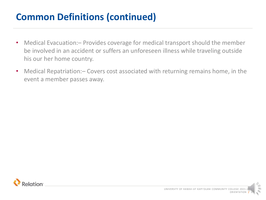# **Common Definitions (continued)**

- Medical Evacuation: Provides coverage for medical transport should the member be involved in an accident or suffers an unforeseen illness while traveling outside his our her home country.
- Medical Repatriation: Covers cost associated with returning remains home, in the event a member passes away.

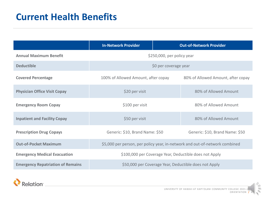# **Current Health Benefits**

|                                          | <b>In-Network Provider</b>                                                  |  | <b>Out-of-Network Provider</b>     |
|------------------------------------------|-----------------------------------------------------------------------------|--|------------------------------------|
| <b>Annual Maximum Benefit</b>            | \$250,000, per policy year                                                  |  |                                    |
| <b>Deductible</b>                        | \$0 per coverage year                                                       |  |                                    |
| <b>Covered Percentage</b>                | 100% of Allowed Amount, after copay                                         |  | 80% of Allowed Amount, after copay |
| <b>Physician Office Visit Copay</b>      | \$20 per visit                                                              |  | 80% of Allowed Amount              |
| <b>Emergency Room Copay</b>              | \$100 per visit                                                             |  | 80% of Allowed Amount              |
| <b>Inpatient and Facility Copay</b>      | \$50 per visit                                                              |  | 80% of Allowed Amount              |
| <b>Prescription Drug Copays</b>          | Generic: \$10, Brand Name: \$50                                             |  | Generic: \$10, Brand Name: \$50    |
| <b>Out-of-Pocket Maximum</b>             | \$5,000 per person, per policy year, in-network and out-of-network combined |  |                                    |
| <b>Emergency Medical Evacuation</b>      | \$100,000 per Coverage Year, Deductible does not Apply                      |  |                                    |
| <b>Emergency Repatriation of Remains</b> | \$50,000 per Coverage Year, Deductible does not Apply                       |  |                                    |



 $\leq$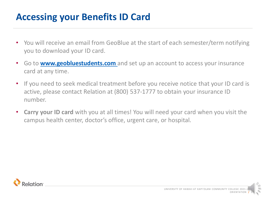# **Accessing your Benefits ID Card**

- You will receive an email from GeoBlue at the start of each semester/term notifying you to download your ID card.
- Go to **[www.geobluestudents.com](http://www.geobluestudents.com/)** and set up an account to access your insurance card at any time.
- If you need to seek medical treatment before you receive notice that your ID card is active, please contact Relation at (800) 537-1777 to obtain your insurance ID number.
- **Carry your ID card** with you at all times! You will need your card when you visit the campus health center, doctor's office, urgent care, or hospital.

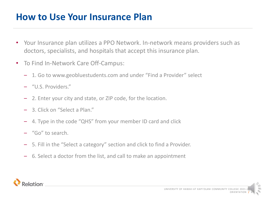### **How to Use Your Insurance Plan**

- Your Insurance plan utilizes a PPO Network. In-network means providers such as doctors, specialists, and hospitals that accept this insurance plan.
- To Find In-Network Care Off-Campus:
	- 1. Go to www.geobluestudents.com and under "Find a Provider" select
	- "U.S. Providers."
	- 2. Enter your city and state, or ZIP code, for the location.
	- 3. Click on "Select a Plan."
	- 4. Type in the code "QHS" from your member ID card and click
	- "Go" to search.
	- 5. Fill in the "Select a category" section and click to find a Provider.
	- 6. Select a doctor from the list, and call to make an appointment

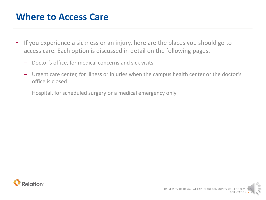#### **Where to Access Care**

- If you experience a sickness or an injury, here are the places you should go to access care. Each option is discussed in detail on the following pages.
	- Doctor's office, for medical concerns and sick visits
	- Urgent care center, for illness or injuries when the campus health center or the doctor's office is closed
	- Hospital, for scheduled surgery or a medical emergency only

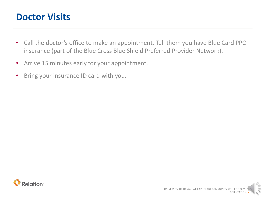#### **Doctor Visits**

- Call the doctor's office to make an appointment. Tell them you have Blue Card PPO insurance (part of the Blue Cross Blue Shield Preferred Provider Network).
- Arrive 15 minutes early for your appointment.
- Bring your insurance ID card with you.

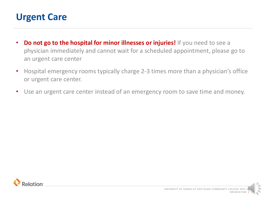### **Urgent Care**

- **Do not go to the hospital for minor illnesses or injuries!** If you need to see a physician immediately and cannot wait for a scheduled appointment, please go to an urgent care center
- Hospital emergency rooms typically charge 2-3 times more than a physician's office or urgent care center.
- Use an urgent care center instead of an emergency room to save time and money.

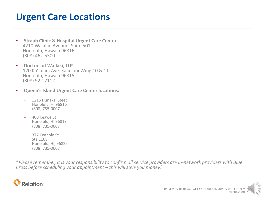### **Urgent Care Locations**

- **Straub Clinic & Hospital Urgent Care Center**  4210 Waialae Avenue, Suite 501 Honolulu, Hawai'i 96816 (808) 462-5300
- **Doctors of Waikiki, LLP** 120 Kaʻiulani Ave. Ka'iulani Wing 10 & 11 Honolulu, Hawai'i 96815 (808) 922-2112
- **Queen's Island Urgent Care Center locations:**
	- 1215 Hunakai Steet Honolulu, HI 96816 (808) 735-0007
	- 400 Keawe St Honolulu, HI 96813 (808) 735-0007
	- 377 Keahole St Ste E108 Honolulu, HI, 96825 (808) 735-0007

\**Please remember, it is your responsibility to confirm all service providers are In-network providers with Blue Cross before scheduling your appointment – this will save you money!*

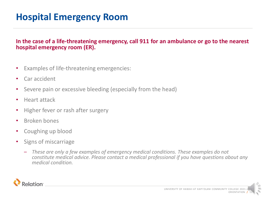# **Hospital Emergency Room**

#### **In the case of a life-threatening emergency, call 911 for an ambulance or go to the nearest hospital emergency room (ER).**

- Examples of life-threatening emergencies:
- Car accident
- Severe pain or excessive bleeding (especially from the head)
- Heart attack
- Higher fever or rash after surgery
- Broken bones
- Coughing up blood
- Signs of miscarriage
	- *These are only a few examples of emergency medical conditions. These examples do not constitute medical advice. Please contact a medical professional if you have questions about any medical condition.*

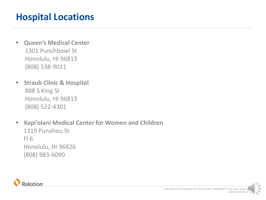# **Hospital Locations**

- **Queen's Medical Center** 1301 Punchbowl St Honolulu, HI 96813 (808) 538-9011
- **Straub Clinic & Hospital** 888 S King St Honolulu, HI 96813 (808) 522-4301
- **Kapi'olani Medical Center for Women and Children** 1319 Punahou St Fl 6 Honolulu, HI 96826 (808) 983-6090

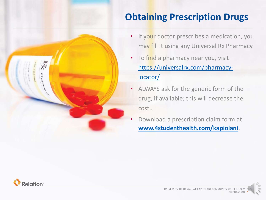# **Obtaining Prescription Drugs**

- 
- If your doctor prescribes a medication, you may fill it using any Universal Rx Pharmacy.
- To find a pharmacy near you, visit [https://universalrx.com/pharmacy](https://universalrx.com/pharmacy-locator/)locator/
- ALWAYS ask for the generic form of the drug, if available; this will decrease the cost..
- Download a prescription claim form at **[www.4studenthealth.com/kapiolani](http://www.4studenthealth.com/kapiolani)**.

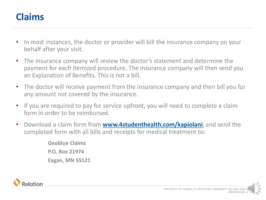### **Claims**

- In most instances, the doctor or provider will bill the insurance company on your behalf after your visit.
- The insurance company will review the doctor's statement and determine the payment for each itemized procedure. The insurance company will then send you an Explanation of Benefits. This is not a bill.
- The doctor will receive payment from the insurance company and then bill you for any amount not covered by the insurance.
- If you are required to pay for service upfront, you will need to complete a claim form in order to be reimbursed.
- Download a claim form from **[www.4studenthealth.com/kapiolani](http://www.4studenthealth.com/kapiolani)**, and send the completed form with all bills and receipts for medical treatment to:

**Geoblue Claims P.O. Box 21974 Eagan, MN 55121**